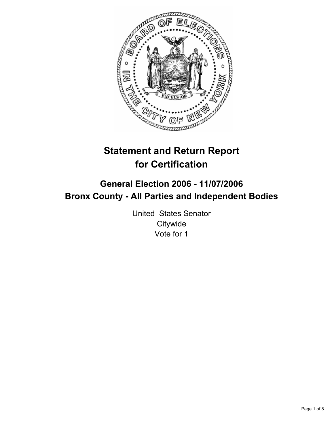

# **Statement and Return Report for Certification**

## **General Election 2006 - 11/07/2006 Bronx County - All Parties and Independent Bodies**

United States Senator **Citywide** Vote for 1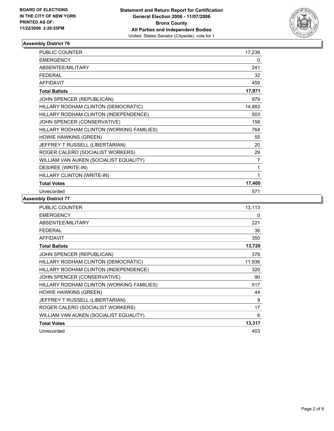

| <b>PUBLIC COUNTER</b>                     | 17,239 |
|-------------------------------------------|--------|
| <b>EMERGENCY</b>                          | 0      |
| ABSENTEE/MILITARY                         | 241    |
| <b>FEDERAL</b>                            | 32     |
| <b>AFFIDAVIT</b>                          | 459    |
| <b>Total Ballots</b>                      | 17,971 |
| JOHN SPENCER (REPUBLICAN)                 | 979    |
| HILLARY RODHAM CLINTON (DEMOCRATIC)       | 14,883 |
| HILLARY RODHAM CLINTON (INDEPENDENCE)     | 503    |
| JOHN SPENCER (CONSERVATIVE)               | 158    |
| HILLARY RODHAM CLINTON (WORKING FAMILIES) | 764    |
| <b>HOWIE HAWKINS (GREEN)</b>              | 55     |
| JEFFREY T RUSSELL (LIBERTARIAN)           | 20     |
| ROGER CALERO (SOCIALIST WORKERS)          | 29     |
| WILLIAM VAN AUKEN (SOCIALIST EQUALITY)    | 7      |
| DESIREE (WRITE-IN)                        | 1      |
| HILLARY CLINTON (WRITE-IN)                |        |
| <b>Total Votes</b>                        | 17,400 |
| Unrecorded                                | 571    |

| PUBLIC COUNTER                            | 13,113 |
|-------------------------------------------|--------|
| <b>EMERGENCY</b>                          | 0      |
| ABSENTEE/MILITARY                         | 221    |
| <b>FEDERAL</b>                            | 36     |
| <b>AFFIDAVIT</b>                          | 350    |
| <b>Total Ballots</b>                      | 13,720 |
| JOHN SPENCER (REPUBLICAN)                 | 378    |
| HILLARY RODHAM CLINTON (DEMOCRATIC)       | 11,936 |
| HILLARY RODHAM CLINTON (INDEPENDENCE)     | 320    |
| JOHN SPENCER (CONSERVATIVE)               | 90     |
| HILLARY RODHAM CLINTON (WORKING FAMILIES) | 517    |
| <b>HOWIE HAWKINS (GREEN)</b>              | 44     |
| JEFFREY T RUSSELL (LIBERTARIAN)           | 9      |
| ROGER CALERO (SOCIALIST WORKERS)          | 17     |
| WILLIAM VAN AUKEN (SOCIALIST EQUALITY)    | 6      |
| <b>Total Votes</b>                        | 13,317 |
| Unrecorded                                | 403    |
|                                           |        |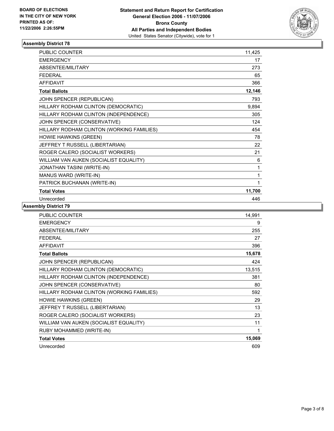

| PUBLIC COUNTER                            | 11,425 |
|-------------------------------------------|--------|
| <b>EMERGENCY</b>                          | 17     |
| ABSENTEE/MILITARY                         | 273    |
| <b>FEDERAL</b>                            | 65     |
| <b>AFFIDAVIT</b>                          | 366    |
| <b>Total Ballots</b>                      | 12,146 |
| JOHN SPENCER (REPUBLICAN)                 | 793    |
| HILLARY RODHAM CLINTON (DEMOCRATIC)       | 9,894  |
| HILLARY RODHAM CLINTON (INDEPENDENCE)     | 305    |
| JOHN SPENCER (CONSERVATIVE)               | 124    |
| HILLARY RODHAM CLINTON (WORKING FAMILIES) | 454    |
| <b>HOWIE HAWKINS (GREEN)</b>              | 78     |
| JEFFREY T RUSSELL (LIBERTARIAN)           | 22     |
| ROGER CALERO (SOCIALIST WORKERS)          | 21     |
| WILLIAM VAN AUKEN (SOCIALIST EQUALITY)    | 6      |
| JONATHAN TASINI (WRITE-IN)                | 1      |
| MANUS WARD (WRITE-IN)                     | 1      |
| PATRICK BUCHANAN (WRITE-IN)               | 1      |
| <b>Total Votes</b>                        | 11,700 |
| Unrecorded                                | 446    |

| <b>PUBLIC COUNTER</b>                     | 14,991 |
|-------------------------------------------|--------|
| <b>EMERGENCY</b>                          | 9      |
| ABSENTEE/MILITARY                         | 255    |
| <b>FEDERAL</b>                            | 27     |
| <b>AFFIDAVIT</b>                          | 396    |
| <b>Total Ballots</b>                      | 15,678 |
| JOHN SPENCER (REPUBLICAN)                 | 424    |
| HILLARY RODHAM CLINTON (DEMOCRATIC)       | 13,515 |
| HILLARY RODHAM CLINTON (INDEPENDENCE)     | 381    |
| JOHN SPENCER (CONSERVATIVE)               | 80     |
| HILLARY RODHAM CLINTON (WORKING FAMILIES) | 592    |
| <b>HOWIE HAWKINS (GREEN)</b>              | 29     |
| JEFFREY T RUSSELL (LIBERTARIAN)           | 13     |
| ROGER CALERO (SOCIALIST WORKERS)          | 23     |
| WILLIAM VAN AUKEN (SOCIALIST EQUALITY)    | 11     |
| RUBY MOHAMMED (WRITE-IN)                  | 1      |
| <b>Total Votes</b>                        | 15,069 |
| Unrecorded                                | 609    |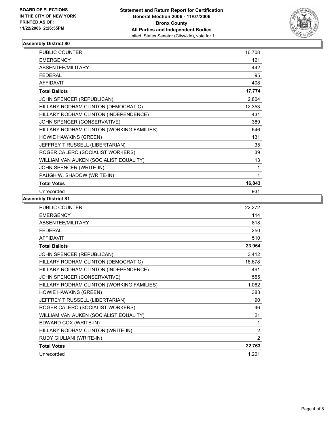

| PUBLIC COUNTER                            | 16,708 |
|-------------------------------------------|--------|
| <b>EMERGENCY</b>                          | 121    |
| <b>ABSENTEE/MILITARY</b>                  | 442    |
| <b>FEDERAL</b>                            | 95     |
| <b>AFFIDAVIT</b>                          | 408    |
| <b>Total Ballots</b>                      | 17,774 |
| JOHN SPENCER (REPUBLICAN)                 | 2,804  |
| HILLARY RODHAM CLINTON (DEMOCRATIC)       | 12,353 |
| HILLARY RODHAM CLINTON (INDEPENDENCE)     | 431    |
| JOHN SPENCER (CONSERVATIVE)               | 389    |
| HILLARY RODHAM CLINTON (WORKING FAMILIES) | 646    |
| HOWIE HAWKINS (GREEN)                     | 131    |
| JEFFREY T RUSSELL (LIBERTARIAN)           | 35     |
| ROGER CALERO (SOCIALIST WORKERS)          | 39     |
| WILLIAM VAN AUKEN (SOCIALIST EQUALITY)    | 13     |
| JOHN SPENCER (WRITE-IN)                   |        |
| PAUGH W. SHADOW (WRITE-IN)                |        |
| <b>Total Votes</b>                        | 16,843 |
| Unrecorded                                | 931    |

| <b>PUBLIC COUNTER</b>                     | 22,272         |
|-------------------------------------------|----------------|
| <b>EMERGENCY</b>                          | 114            |
| ABSENTEE/MILITARY                         | 818            |
| <b>FEDERAL</b>                            | 250            |
| <b>AFFIDAVIT</b>                          | 510            |
| <b>Total Ballots</b>                      | 23,964         |
| JOHN SPENCER (REPUBLICAN)                 | 3,412          |
| HILLARY RODHAM CLINTON (DEMOCRATIC)       | 16,678         |
| HILLARY RODHAM CLINTON (INDEPENDENCE)     | 491            |
| JOHN SPENCER (CONSERVATIVE)               | 555            |
| HILLARY RODHAM CLINTON (WORKING FAMILIES) | 1,082          |
| HOWIE HAWKINS (GREEN)                     | 383            |
| JEFFREY T RUSSELL (LIBERTARIAN)           | 90             |
| ROGER CALERO (SOCIALIST WORKERS)          | 46             |
| WILLIAM VAN AUKEN (SOCIALIST EQUALITY)    | 21             |
| EDWARD COX (WRITE-IN)                     | 1              |
| HILLARY RODHAM CLINTON (WRITE-IN)         | $\overline{2}$ |
| RUDY GIULIANI (WRITE-IN)                  | $\overline{2}$ |
| <b>Total Votes</b>                        | 22,763         |
| Unrecorded                                | 1,201          |
|                                           |                |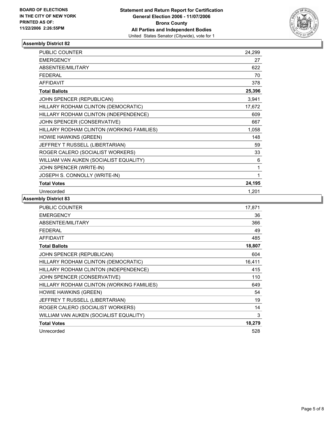

| <b>PUBLIC COUNTER</b>                     | 24,299 |
|-------------------------------------------|--------|
| <b>EMERGENCY</b>                          | 27     |
| ABSENTEE/MILITARY                         | 622    |
| <b>FEDERAL</b>                            | 70     |
| <b>AFFIDAVIT</b>                          | 378    |
| <b>Total Ballots</b>                      | 25,396 |
| JOHN SPENCER (REPUBLICAN)                 | 3,941  |
| HILLARY RODHAM CLINTON (DEMOCRATIC)       | 17,672 |
| HILLARY RODHAM CLINTON (INDEPENDENCE)     | 609    |
| JOHN SPENCER (CONSERVATIVE)               | 667    |
| HILLARY RODHAM CLINTON (WORKING FAMILIES) | 1,058  |
| HOWIE HAWKINS (GREEN)                     | 148    |
| JEFFREY T RUSSELL (LIBERTARIAN)           | 59     |
| ROGER CALERO (SOCIALIST WORKERS)          | 33     |
| WILLIAM VAN AUKEN (SOCIALIST EQUALITY)    | 6      |
| JOHN SPENCER (WRITE-IN)                   | 1      |
| JOSEPH S. CONNOLLY (WRITE-IN)             |        |
| <b>Total Votes</b>                        | 24,195 |
| Unrecorded                                | 1,201  |

| PUBLIC COUNTER                            | 17,871 |
|-------------------------------------------|--------|
| <b>EMERGENCY</b>                          | 36     |
| ABSENTEE/MILITARY                         | 366    |
| <b>FEDERAL</b>                            | 49     |
| <b>AFFIDAVIT</b>                          | 485    |
| <b>Total Ballots</b>                      | 18,807 |
| JOHN SPENCER (REPUBLICAN)                 | 604    |
| HILLARY RODHAM CLINTON (DEMOCRATIC)       | 16,411 |
| HILLARY RODHAM CLINTON (INDEPENDENCE)     | 415    |
| JOHN SPENCER (CONSERVATIVE)               | 110    |
| HILLARY RODHAM CLINTON (WORKING FAMILIES) | 649    |
| <b>HOWIE HAWKINS (GREEN)</b>              | 54     |
| JEFFREY T RUSSELL (LIBERTARIAN)           | 19     |
| ROGER CALERO (SOCIALIST WORKERS)          | 14     |
| WILLIAM VAN AUKEN (SOCIALIST EQUALITY)    | 3      |
| <b>Total Votes</b>                        | 18,279 |
| Unrecorded                                | 528    |
|                                           |        |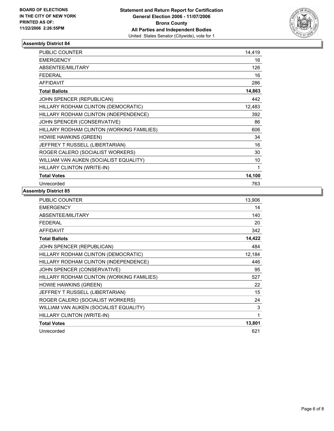

| <b>PUBLIC COUNTER</b>                     | 14,419 |
|-------------------------------------------|--------|
| <b>EMERGENCY</b>                          | 16     |
| ABSENTEE/MILITARY                         | 126    |
| <b>FEDERAL</b>                            | 16     |
| <b>AFFIDAVIT</b>                          | 286    |
| <b>Total Ballots</b>                      | 14,863 |
| JOHN SPENCER (REPUBLICAN)                 | 442    |
| HILLARY RODHAM CLINTON (DEMOCRATIC)       | 12,483 |
| HILLARY RODHAM CLINTON (INDEPENDENCE)     | 392    |
| JOHN SPENCER (CONSERVATIVE)               | 86     |
| HILLARY RODHAM CLINTON (WORKING FAMILIES) | 606    |
| <b>HOWIE HAWKINS (GREEN)</b>              | 34     |
| JEFFREY T RUSSELL (LIBERTARIAN)           | 16     |
| ROGER CALERO (SOCIALIST WORKERS)          | 30     |
| WILLIAM VAN AUKEN (SOCIALIST EQUALITY)    | 10     |
| HILLARY CLINTON (WRITE-IN)                | 1      |
| <b>Total Votes</b>                        | 14,100 |
| Unrecorded                                | 763    |

| PUBLIC COUNTER                            | 13,906 |
|-------------------------------------------|--------|
| <b>EMERGENCY</b>                          | 14     |
| ABSENTEE/MILITARY                         | 140    |
| <b>FEDERAL</b>                            | 20     |
| <b>AFFIDAVIT</b>                          | 342    |
| <b>Total Ballots</b>                      | 14,422 |
| JOHN SPENCER (REPUBLICAN)                 | 484    |
| HILLARY RODHAM CLINTON (DEMOCRATIC)       | 12,184 |
| HILLARY RODHAM CLINTON (INDEPENDENCE)     | 446    |
| JOHN SPENCER (CONSERVATIVE)               | 95     |
| HILLARY RODHAM CLINTON (WORKING FAMILIES) | 527    |
| <b>HOWIE HAWKINS (GREEN)</b>              | 22     |
| JEFFREY T RUSSELL (LIBERTARIAN)           | 15     |
| ROGER CALERO (SOCIALIST WORKERS)          | 24     |
| WILLIAM VAN AUKEN (SOCIALIST EQUALITY)    | 3      |
| HILLARY CLINTON (WRITE-IN)                | 1      |
| <b>Total Votes</b>                        | 13,801 |
| Unrecorded                                | 621    |
|                                           |        |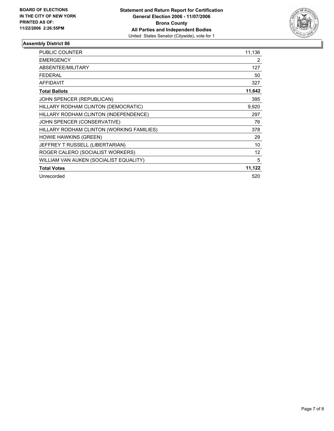

| PUBLIC COUNTER                            | 11,136         |
|-------------------------------------------|----------------|
| <b>EMERGENCY</b>                          | $\overline{2}$ |
| ABSENTEE/MILITARY                         | 127            |
| <b>FEDERAL</b>                            | 50             |
| <b>AFFIDAVIT</b>                          | 327            |
| <b>Total Ballots</b>                      | 11,642         |
| JOHN SPENCER (REPUBLICAN)                 | 395            |
| HILLARY RODHAM CLINTON (DEMOCRATIC)       | 9,920          |
| HILLARY RODHAM CLINTON (INDEPENDENCE)     | 297            |
| JOHN SPENCER (CONSERVATIVE)               | 76             |
| HILLARY RODHAM CLINTON (WORKING FAMILIES) | 378            |
| <b>HOWIE HAWKINS (GREEN)</b>              | 29             |
| JEFFREY T RUSSELL (LIBERTARIAN)           | 10             |
| ROGER CALERO (SOCIALIST WORKERS)          | 12             |
| WILLIAM VAN AUKEN (SOCIALIST EQUALITY)    | 5              |
| <b>Total Votes</b>                        | 11,122         |
| Unrecorded                                | 520            |